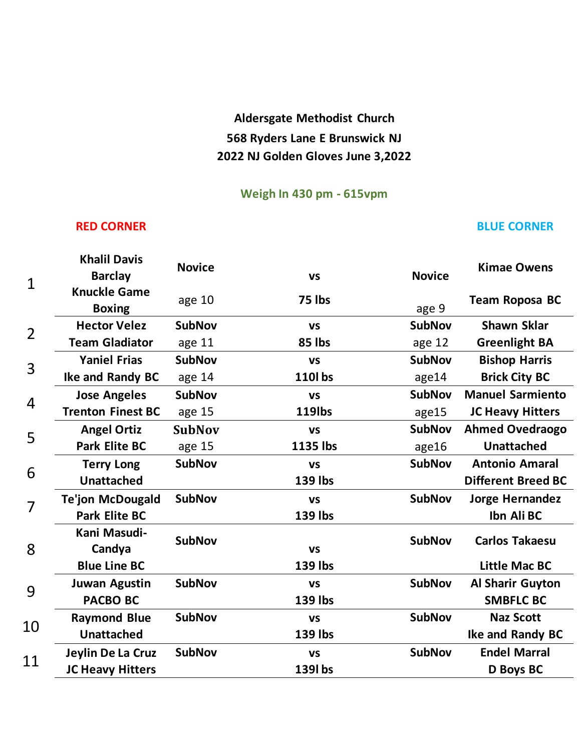## **Aldersgate Methodist Church 568 Ryders Lane E Brunswick NJ 2022 NJ Golden Gloves June 3,2022**

### **Weigh In 430 pm - 615vpm**

### **RED CORNER BLUE CORNER**

| $\mathbf 1$    | <b>Khalil Davis</b><br><b>Barclay</b> | <b>Novice</b> | <b>VS</b>      | <b>Novice</b> | <b>Kimae Owens</b>        |
|----------------|---------------------------------------|---------------|----------------|---------------|---------------------------|
|                | <b>Knuckle Game</b><br><b>Boxing</b>  | age 10        | 75 lbs         | age 9         | <b>Team Roposa BC</b>     |
| $\overline{2}$ | <b>Hector Velez</b>                   | <b>SubNov</b> | <b>VS</b>      | <b>SubNov</b> | <b>Shawn Sklar</b>        |
|                | <b>Team Gladiator</b>                 | age 11        | 85 lbs         | age 12        | <b>Greenlight BA</b>      |
| 3              | <b>Yaniel Frias</b>                   | <b>SubNov</b> | <b>VS</b>      | <b>SubNov</b> | <b>Bishop Harris</b>      |
|                | Ike and Randy BC                      | age 14        | 110l bs        | age14         | <b>Brick City BC</b>      |
| 4              | <b>Jose Angeles</b>                   | <b>SubNov</b> | <b>VS</b>      | <b>SubNov</b> | <b>Manuel Sarmiento</b>   |
|                | <b>Trenton Finest BC</b>              | age 15        | <b>119lbs</b>  | age15         | <b>JC Heavy Hitters</b>   |
| 5              | <b>Angel Ortiz</b>                    | <b>SubNov</b> | <b>VS</b>      | <b>SubNov</b> | <b>Ahmed Ovedraogo</b>    |
|                | <b>Park Elite BC</b>                  | age 15        | 1135 lbs       | age16         | <b>Unattached</b>         |
| 6              | <b>Terry Long</b>                     | <b>SubNov</b> | <b>VS</b>      | <b>SubNov</b> | <b>Antonio Amaral</b>     |
|                | <b>Unattached</b>                     |               | <b>139 lbs</b> |               | <b>Different Breed BC</b> |
| $\overline{7}$ | <b>Te'jon McDougald</b>               | <b>SubNov</b> | <b>VS</b>      | <b>SubNov</b> | <b>Jorge Hernandez</b>    |
|                | <b>Park Elite BC</b>                  |               | <b>139 lbs</b> |               | Ibn Ali BC                |
| 8              | Kani Masudi-<br>Candya                | <b>SubNov</b> | <b>VS</b>      | <b>SubNov</b> | <b>Carlos Takaesu</b>     |
|                | <b>Blue Line BC</b>                   |               | 139 lbs        |               | <b>Little Mac BC</b>      |
| 9              | <b>Juwan Agustin</b>                  | <b>SubNov</b> | <b>VS</b>      | <b>SubNov</b> | <b>Al Sharir Guyton</b>   |
|                | <b>PACBO BC</b>                       |               | 139 lbs        |               | <b>SMBFLC BC</b>          |
| 10             | <b>Raymond Blue</b>                   | <b>SubNov</b> | <b>VS</b>      | <b>SubNov</b> | <b>Naz Scott</b>          |
|                | <b>Unattached</b>                     |               | <b>139 lbs</b> |               | Ike and Randy BC          |
| 11             | Jeylin De La Cruz                     | <b>SubNov</b> | <b>VS</b>      | <b>SubNov</b> | <b>Endel Marral</b>       |
|                | <b>JC Heavy Hitters</b>               |               | 139l bs        |               | D Boys BC                 |